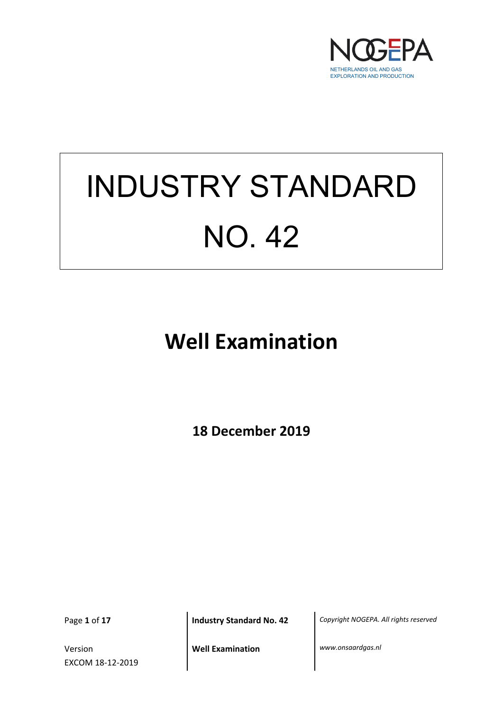

# INDUSTRY STANDARD NO. 42

**Well Examination**

**18 December 2019**

Version EXCOM 18-12-2019

Page **1** of **17 Industry Standard No. 42** *Copyright NOGEPA. All rights reserved*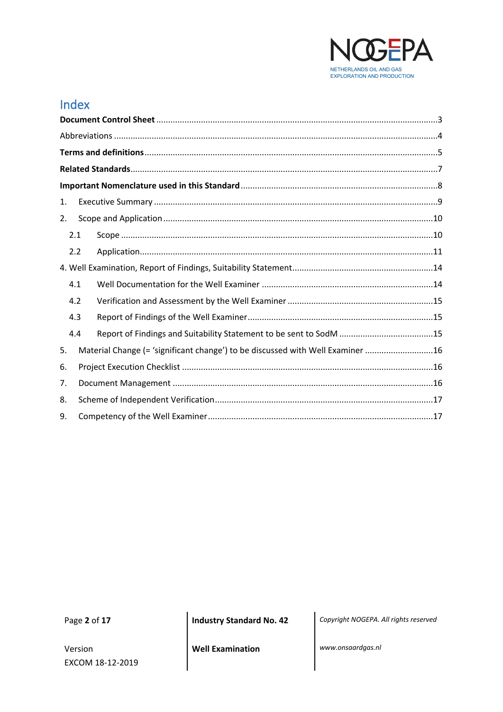

# Index

| 1. |     |                                                                                |
|----|-----|--------------------------------------------------------------------------------|
| 2. |     |                                                                                |
|    | 2.1 |                                                                                |
|    | 2.2 |                                                                                |
|    |     |                                                                                |
|    | 4.1 |                                                                                |
|    | 4.2 |                                                                                |
|    | 4.3 |                                                                                |
|    | 4.4 |                                                                                |
| 5. |     | Material Change (= 'significant change') to be discussed with Well Examiner 16 |
| 6. |     |                                                                                |
| 7. |     |                                                                                |
| 8. |     |                                                                                |
| 9. |     |                                                                                |

Page 2 of 17

Version EXCOM 18-12-2019 **Industry Standard No. 42** 

Copyright NOGEPA. All rights reserved

**Well Examination** 

www.onsaardgas.nl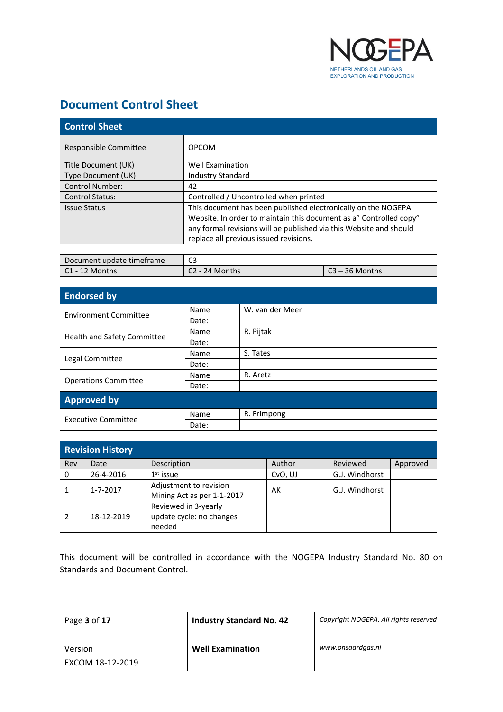

## <span id="page-2-0"></span>**Document Control Sheet**

| <b>Control Sheet</b>   |                                                                    |  |  |  |
|------------------------|--------------------------------------------------------------------|--|--|--|
| Responsible Committee  | <b>OPCOM</b>                                                       |  |  |  |
| Title Document (UK)    | <b>Well Examination</b>                                            |  |  |  |
| Type Document (UK)     | <b>Industry Standard</b>                                           |  |  |  |
| <b>Control Number:</b> | 42                                                                 |  |  |  |
| <b>Control Status:</b> | Controlled / Uncontrolled when printed                             |  |  |  |
| <b>Issue Status</b>    | This document has been published electronically on the NOGEPA      |  |  |  |
|                        | Website. In order to maintain this document as a" Controlled copy" |  |  |  |
|                        | any formal revisions will be published via this Website and should |  |  |  |
|                        | replace all previous issued revisions.                             |  |  |  |
|                        |                                                                    |  |  |  |

| Document update timeframe | C3               |                  |  |
|---------------------------|------------------|------------------|--|
| C1 - 12 Months            | $C2 - 24$ Months | $C3 - 36$ Months |  |

| <b>Endorsed by</b>           |       |                 |  |  |  |
|------------------------------|-------|-----------------|--|--|--|
| <b>Environment Committee</b> | Name  | W. van der Meer |  |  |  |
|                              | Date: |                 |  |  |  |
|                              | Name  | R. Pijtak       |  |  |  |
| Health and Safety Committee  | Date: |                 |  |  |  |
| Legal Committee              | Name  | S. Tates        |  |  |  |
|                              | Date: |                 |  |  |  |
|                              | Name  | R. Aretz        |  |  |  |
| <b>Operations Committee</b>  | Date: |                 |  |  |  |
| <b>Approved by</b>           |       |                 |  |  |  |
| <b>Executive Committee</b>   | Name  | R. Frimpong     |  |  |  |
|                              | Date: |                 |  |  |  |

| <b>Revision History</b> |                |                                                            |         |                |          |  |  |
|-------------------------|----------------|------------------------------------------------------------|---------|----------------|----------|--|--|
| Rev                     | Date           | Description                                                | Author  | Reviewed       | Approved |  |  |
| 0                       | 26-4-2016      | $1st$ issue                                                | CvO, UJ | G.J. Windhorst |          |  |  |
|                         | $1 - 7 - 2017$ | Adjustment to revision<br>Mining Act as per 1-1-2017       | AK      | G.J. Windhorst |          |  |  |
|                         | 18-12-2019     | Reviewed in 3-yearly<br>update cycle: no changes<br>needed |         |                |          |  |  |

This document will be controlled in accordance with the NOGEPA Industry Standard No. 80 on Standards and Document Control.

Page **3** of **17 Industry Standard No. 42** *Copyright NOGEPA. All rights reserved*

Version EXCOM 18-12-2019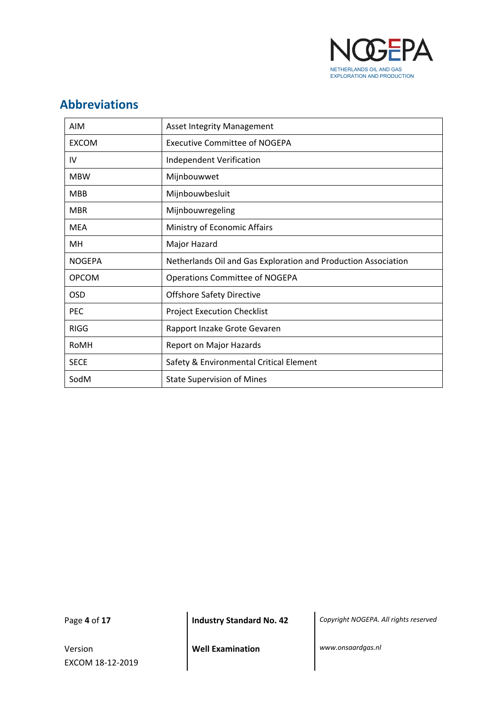

# <span id="page-3-0"></span>**Abbreviations**

| <b>AIM</b>    | <b>Asset Integrity Management</b>                              |
|---------------|----------------------------------------------------------------|
| <b>EXCOM</b>  | <b>Executive Committee of NOGEPA</b>                           |
| IV            | Independent Verification                                       |
| <b>MBW</b>    | Mijnbouwwet                                                    |
| <b>MBB</b>    | Mijnbouwbesluit                                                |
| <b>MBR</b>    | Mijnbouwregeling                                               |
| <b>MEA</b>    | Ministry of Economic Affairs                                   |
| MН            | Major Hazard                                                   |
| <b>NOGEPA</b> | Netherlands Oil and Gas Exploration and Production Association |
| <b>OPCOM</b>  | Operations Committee of NOGEPA                                 |
| OSD           | <b>Offshore Safety Directive</b>                               |
| <b>PEC</b>    | <b>Project Execution Checklist</b>                             |
| <b>RIGG</b>   | Rapport Inzake Grote Gevaren                                   |
| RoMH          | Report on Major Hazards                                        |
| <b>SECE</b>   | Safety & Environmental Critical Element                        |
| SodM          | <b>State Supervision of Mines</b>                              |

Version EXCOM 18-12-2019

Page **4** of **17 Industry Standard No. 42** *Copyright NOGEPA. All rights reserved*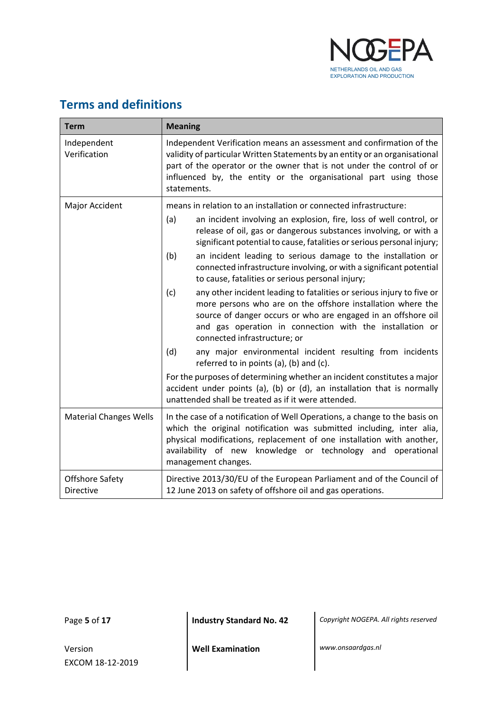

# <span id="page-4-0"></span>**Terms and definitions**

| <b>Term</b>                         | <b>Meaning</b>                                                                                                                                                                                                                                                                                                                                                                                                                                                                                 |  |  |  |
|-------------------------------------|------------------------------------------------------------------------------------------------------------------------------------------------------------------------------------------------------------------------------------------------------------------------------------------------------------------------------------------------------------------------------------------------------------------------------------------------------------------------------------------------|--|--|--|
| Independent<br>Verification         | Independent Verification means an assessment and confirmation of the<br>validity of particular Written Statements by an entity or an organisational<br>part of the operator or the owner that is not under the control of or<br>influenced by, the entity or the organisational part using those<br>statements.                                                                                                                                                                                |  |  |  |
| Major Accident                      | means in relation to an installation or connected infrastructure:<br>an incident involving an explosion, fire, loss of well control, or<br>(a)<br>release of oil, gas or dangerous substances involving, or with a<br>significant potential to cause, fatalities or serious personal injury;<br>(b)<br>an incident leading to serious damage to the installation or<br>connected infrastructure involving, or with a significant potential<br>to cause, fatalities or serious personal injury; |  |  |  |
|                                     | any other incident leading to fatalities or serious injury to five or<br>(c)<br>more persons who are on the offshore installation where the<br>source of danger occurs or who are engaged in an offshore oil<br>and gas operation in connection with the installation or<br>connected infrastructure; or<br>(d)<br>any major environmental incident resulting from incidents                                                                                                                   |  |  |  |
|                                     | referred to in points (a), (b) and (c).<br>For the purposes of determining whether an incident constitutes a major<br>accident under points (a), (b) or (d), an installation that is normally<br>unattended shall be treated as if it were attended.                                                                                                                                                                                                                                           |  |  |  |
| <b>Material Changes Wells</b>       | In the case of a notification of Well Operations, a change to the basis on<br>which the original notification was submitted including, inter alia,<br>physical modifications, replacement of one installation with another,<br>availability of new knowledge or technology and operational<br>management changes.                                                                                                                                                                              |  |  |  |
| Offshore Safety<br><b>Directive</b> | Directive 2013/30/EU of the European Parliament and of the Council of<br>12 June 2013 on safety of offshore oil and gas operations.                                                                                                                                                                                                                                                                                                                                                            |  |  |  |

Version EXCOM 18-12-2019

Page **5** of **17 Industry Standard No. 42** *Copyright NOGEPA. All rights reserved*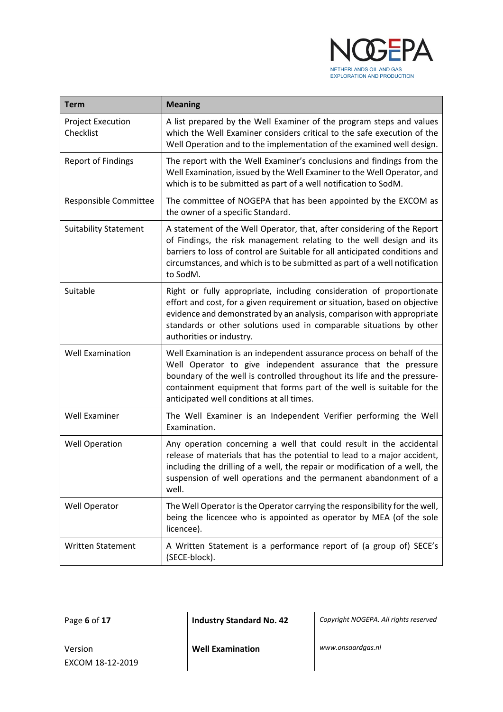

| <b>Term</b>                           | <b>Meaning</b>                                                                                                                                                                                                                                                                                                                           |  |  |
|---------------------------------------|------------------------------------------------------------------------------------------------------------------------------------------------------------------------------------------------------------------------------------------------------------------------------------------------------------------------------------------|--|--|
| <b>Project Execution</b><br>Checklist | A list prepared by the Well Examiner of the program steps and values<br>which the Well Examiner considers critical to the safe execution of the<br>Well Operation and to the implementation of the examined well design.                                                                                                                 |  |  |
| <b>Report of Findings</b>             | The report with the Well Examiner's conclusions and findings from the<br>Well Examination, issued by the Well Examiner to the Well Operator, and<br>which is to be submitted as part of a well notification to SodM.                                                                                                                     |  |  |
| Responsible Committee                 | The committee of NOGEPA that has been appointed by the EXCOM as<br>the owner of a specific Standard.                                                                                                                                                                                                                                     |  |  |
| <b>Suitability Statement</b>          | A statement of the Well Operator, that, after considering of the Report<br>of Findings, the risk management relating to the well design and its<br>barriers to loss of control are Suitable for all anticipated conditions and<br>circumstances, and which is to be submitted as part of a well notification<br>to SodM.                 |  |  |
| Suitable                              | Right or fully appropriate, including consideration of proportionate<br>effort and cost, for a given requirement or situation, based on objective<br>evidence and demonstrated by an analysis, comparison with appropriate<br>standards or other solutions used in comparable situations by other<br>authorities or industry.            |  |  |
| <b>Well Examination</b>               | Well Examination is an independent assurance process on behalf of the<br>Well Operator to give independent assurance that the pressure<br>boundary of the well is controlled throughout its life and the pressure-<br>containment equipment that forms part of the well is suitable for the<br>anticipated well conditions at all times. |  |  |
| Well Examiner                         | The Well Examiner is an Independent Verifier performing the Well<br>Examination.                                                                                                                                                                                                                                                         |  |  |
| <b>Well Operation</b>                 | Any operation concerning a well that could result in the accidental<br>release of materials that has the potential to lead to a major accident,<br>including the drilling of a well, the repair or modification of a well, the<br>suspension of well operations and the permanent abandonment of a<br>well.                              |  |  |
| Well Operator                         | The Well Operator is the Operator carrying the responsibility for the well,<br>being the licencee who is appointed as operator by MEA (of the sole<br>licencee).                                                                                                                                                                         |  |  |
| <b>Written Statement</b>              | A Written Statement is a performance report of (a group of) SECE's<br>(SECE-block).                                                                                                                                                                                                                                                      |  |  |

Page **6** of **17 Industry Standard No. 42** *Copyright NOGEPA. All rights reserved*

Version EXCOM 18-12-2019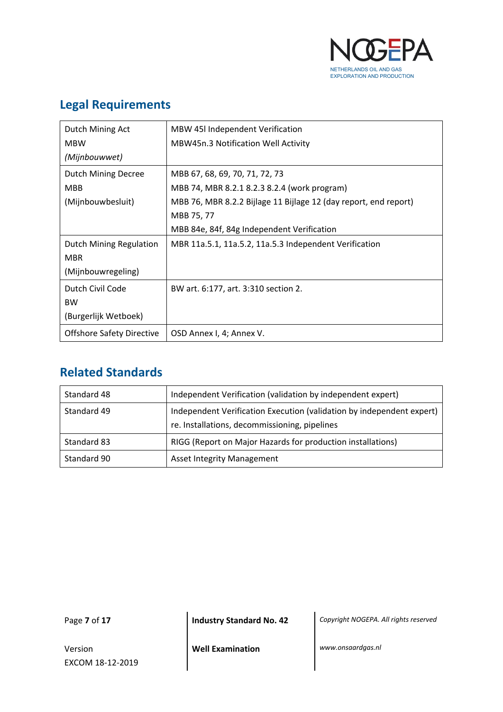

# **Legal Requirements**

| Dutch Mining Act                 | MBW 45I Independent Verification                                 |
|----------------------------------|------------------------------------------------------------------|
| <b>MBW</b>                       | MBW45n.3 Notification Well Activity                              |
| (Mijnbouwwet)                    |                                                                  |
| <b>Dutch Mining Decree</b>       | MBB 67, 68, 69, 70, 71, 72, 73                                   |
| <b>MBB</b>                       | MBB 74, MBR 8.2.1 8.2.3 8.2.4 (work program)                     |
| (Mijnbouwbesluit)                | MBB 76, MBR 8.2.2 Bijlage 11 Bijlage 12 (day report, end report) |
|                                  | MBB 75, 77                                                       |
|                                  | MBB 84e, 84f, 84g Independent Verification                       |
| Dutch Mining Regulation          | MBR 11a.5.1, 11a.5.2, 11a.5.3 Independent Verification           |
| <b>MBR</b>                       |                                                                  |
| (Mijnbouwregeling)               |                                                                  |
| Dutch Civil Code                 | BW art. 6:177, art. 3:310 section 2.                             |
| <b>BW</b>                        |                                                                  |
| (Burgerlijk Wetboek)             |                                                                  |
| <b>Offshore Safety Directive</b> | OSD Annex I, 4; Annex V.                                         |

## <span id="page-6-0"></span>**Related Standards**

| Standard 48 | Independent Verification (validation by independent expert)                                                            |  |  |
|-------------|------------------------------------------------------------------------------------------------------------------------|--|--|
| Standard 49 | Independent Verification Execution (validation by independent expert)<br>re. Installations, decommissioning, pipelines |  |  |
| Standard 83 | RIGG (Report on Major Hazards for production installations)                                                            |  |  |
| Standard 90 | <b>Asset Integrity Management</b>                                                                                      |  |  |

Version EXCOM 18-12-2019

Page **7** of **17 Industry Standard No. 42** *Copyright NOGEPA. All rights reserved*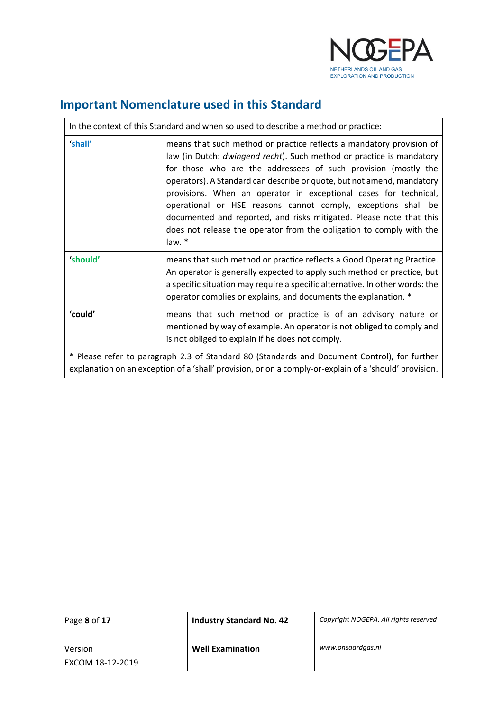

٦

## <span id="page-7-0"></span>**Important Nomenclature used in this Standard**

| In the context of this Standard and when so used to describe a method or practice:                                                                                                                     |                                                                                                                                                                                                                                                                                                                                                                                                                                                                                                                                                                                        |  |  |  |
|--------------------------------------------------------------------------------------------------------------------------------------------------------------------------------------------------------|----------------------------------------------------------------------------------------------------------------------------------------------------------------------------------------------------------------------------------------------------------------------------------------------------------------------------------------------------------------------------------------------------------------------------------------------------------------------------------------------------------------------------------------------------------------------------------------|--|--|--|
| 'shall'                                                                                                                                                                                                | means that such method or practice reflects a mandatory provision of<br>law (in Dutch: dwingend recht). Such method or practice is mandatory<br>for those who are the addressees of such provision (mostly the<br>operators). A Standard can describe or quote, but not amend, mandatory<br>provisions. When an operator in exceptional cases for technical,<br>operational or HSE reasons cannot comply, exceptions shall be<br>documented and reported, and risks mitigated. Please note that this<br>does not release the operator from the obligation to comply with the<br>law. * |  |  |  |
| 'should'                                                                                                                                                                                               | means that such method or practice reflects a Good Operating Practice.<br>An operator is generally expected to apply such method or practice, but<br>a specific situation may require a specific alternative. In other words: the<br>operator complies or explains, and documents the explanation. *                                                                                                                                                                                                                                                                                   |  |  |  |
| 'could'                                                                                                                                                                                                | means that such method or practice is of an advisory nature or<br>mentioned by way of example. An operator is not obliged to comply and<br>is not obliged to explain if he does not comply.                                                                                                                                                                                                                                                                                                                                                                                            |  |  |  |
| * Please refer to paragraph 2.3 of Standard 80 (Standards and Document Control), for further<br>explanation on an exception of a 'shall' provision, or on a comply-or-explain of a 'should' provision. |                                                                                                                                                                                                                                                                                                                                                                                                                                                                                                                                                                                        |  |  |  |

 $\overline{1}$ 

Version EXCOM 18-12-2019

Page **8** of **17 Industry Standard No. 42** *Copyright NOGEPA. All rights reserved*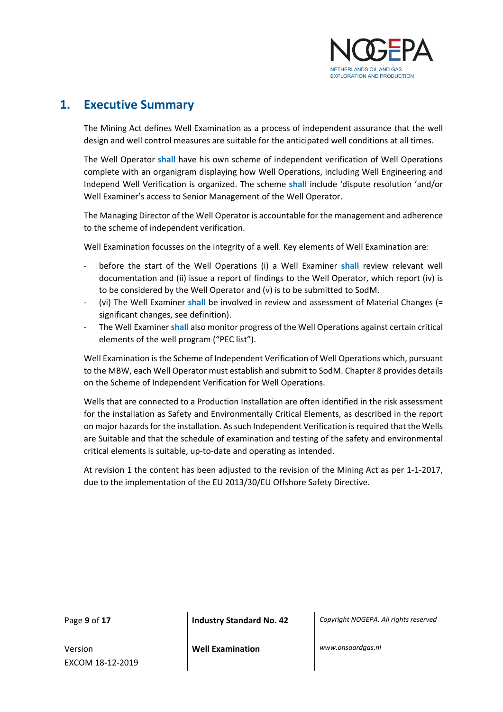

## <span id="page-8-0"></span>**1. Executive Summary**

The Mining Act defines Well Examination as a process of independent assurance that the well design and well control measures are suitable for the anticipated well conditions at all times.

The Well Operator **shall** have his own scheme of independent verification of Well Operations complete with an organigram displaying how Well Operations, including Well Engineering and Independ Well Verification is organized. The scheme **shall** include 'dispute resolution 'and/or Well Examiner's access to Senior Management of the Well Operator.

The Managing Director of the Well Operator is accountable for the management and adherence to the scheme of independent verification.

Well Examination focusses on the integrity of a well. Key elements of Well Examination are:

- before the start of the Well Operations (i) a Well Examiner **shall** review relevant well documentation and (ii) issue a report of findings to the Well Operator, which report (iv) is to be considered by the Well Operator and (v) is to be submitted to SodM.
- (vi) The Well Examiner shall be involved in review and assessment of Material Changes (= significant changes, see definition).
- The Well Examiner **shall** also monitor progress of the Well Operations against certain critical elements of the well program ("PEC list").

Well Examination is the Scheme of Independent Verification of Well Operations which, pursuant to the MBW, each Well Operator must establish and submit to SodM. Chapter 8 provides details on the Scheme of Independent Verification for Well Operations.

Wells that are connected to a Production Installation are often identified in the risk assessment for the installation as Safety and Environmentally Critical Elements, as described in the report on major hazards for the installation. As such Independent Verification is required that the Wells are Suitable and that the schedule of examination and testing of the safety and environmental critical elements is suitable, up-to-date and operating as intended.

At revision 1 the content has been adjusted to the revision of the Mining Act as per 1-1-2017, due to the implementation of the EU 2013/30/EU Offshore Safety Directive.

Version EXCOM 18-12-2019

Page **9** of **17 Industry Standard No. 42** *Copyright NOGEPA. All rights reserved*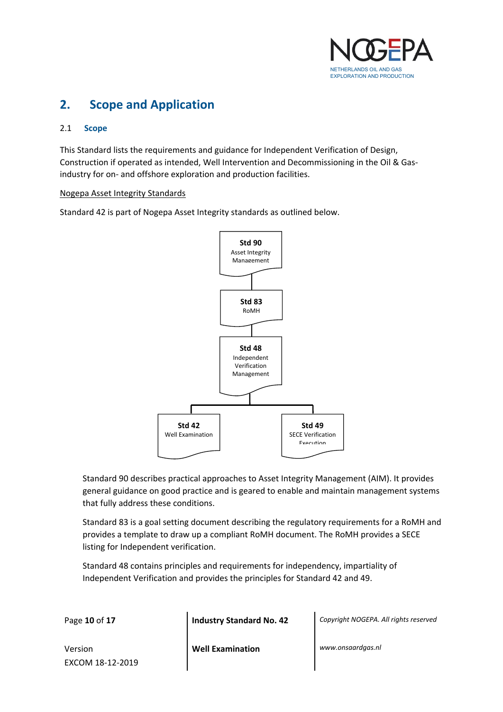

## <span id="page-9-0"></span>**2. Scope and Application**

#### <span id="page-9-1"></span>2.1 **Scope**

This Standard lists the requirements and guidance for Independent Verification of Design, Construction if operated as intended, Well Intervention and Decommissioning in the Oil & Gasindustry for on- and offshore exploration and production facilities.

#### Nogepa Asset Integrity Standards

Standard 42 is part of Nogepa Asset Integrity standards as outlined below.



Standard 90 describes practical approaches to Asset Integrity Management (AIM). It provides general guidance on good practice and is geared to enable and maintain management systems that fully address these conditions.

Standard 83 is a goal setting document describing the regulatory requirements for a RoMH and provides a template to draw up a compliant RoMH document. The RoMH provides a SECE listing for Independent verification.

Standard 48 contains principles and requirements for independency, impartiality of Independent Verification and provides the principles for Standard 42 and 49.

Page **10** of **17 Industry Standard No. 42** *Copyright NOGEPA. All rights reserved*

Version EXCOM 18-12-2019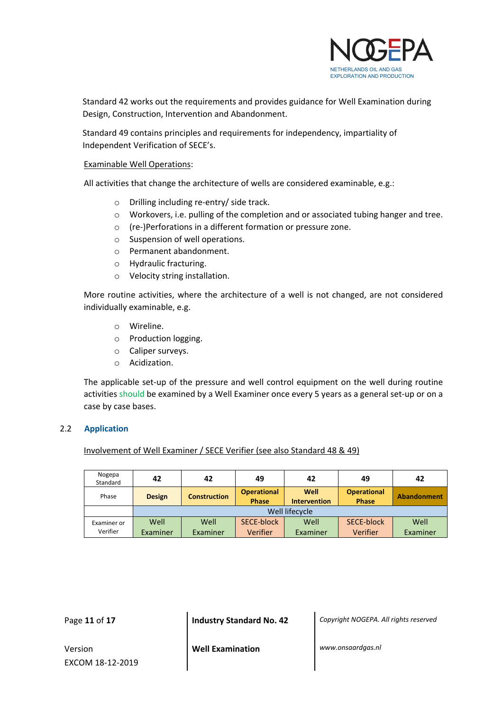

Standard 42 works out the requirements and provides guidance for Well Examination during Design, Construction, Intervention and Abandonment.

Standard 49 contains principles and requirements for independency, impartiality of Independent Verification of SECE's.

#### Examinable Well Operations:

All activities that change the architecture of wells are considered examinable, e.g.:

- o Drilling including re-entry/ side track.
- o Workovers, i.e. pulling of the completion and or associated tubing hanger and tree.
- o (re-)Perforations in a different formation or pressure zone.
- o Suspension of well operations.
- o Permanent abandonment.
- o Hydraulic fracturing.
- o Velocity string installation.

More routine activities, where the architecture of a well is not changed, are not considered individually examinable, e.g.

- o Wireline.
- o Production logging.
- o Caliper surveys.
- o Acidization.

The applicable set-up of the pressure and well control equipment on the well during routine activities should be examined by a Well Examiner once every 5 years as a general set-up or on a case by case bases.

#### <span id="page-10-0"></span>2.2 **Application**

#### Involvement of Well Examiner / SECE Verifier (see also Standard 48 & 49)

| Nogepa<br>Standard | 42            | 42                  | 49                                 | 42                          | 49                                 | 42          |
|--------------------|---------------|---------------------|------------------------------------|-----------------------------|------------------------------------|-------------|
| Phase              | <b>Design</b> | <b>Construction</b> | <b>Operational</b><br><b>Phase</b> | Well<br><b>Intervention</b> | <b>Operational</b><br><b>Phase</b> | Abandonment |
|                    |               |                     |                                    | Well lifecycle              |                                    |             |
| Examiner or        | Well          | Well                | SECE-block                         | Well                        | SECE-block                         | Well        |
| Verifier           | Examiner      | Examiner            | <b>Verifier</b>                    | Examiner                    | Verifier                           | Examiner    |

Page **11** of **17 Industry Standard No. 42** *Copyright NOGEPA. All rights reserved*

Version EXCOM 18-12-2019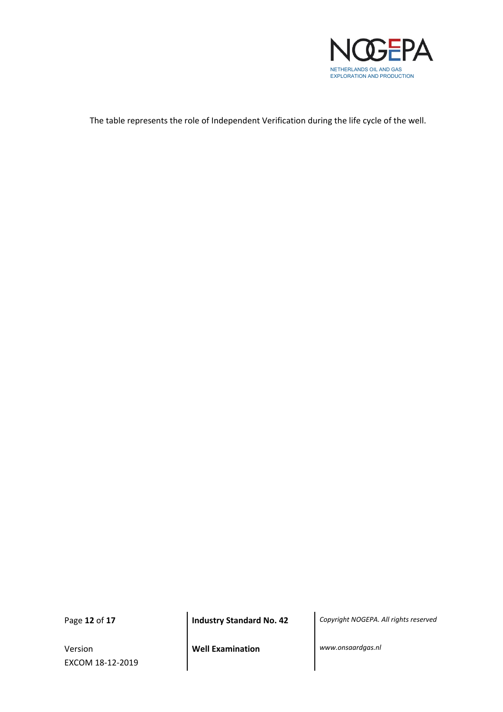

The table represents the role of Independent Verification during the life cycle of the well.

Version EXCOM 18-12-2019

Page **12** of **17 Industry Standard No. 42** *Copyright NOGEPA. All rights reserved*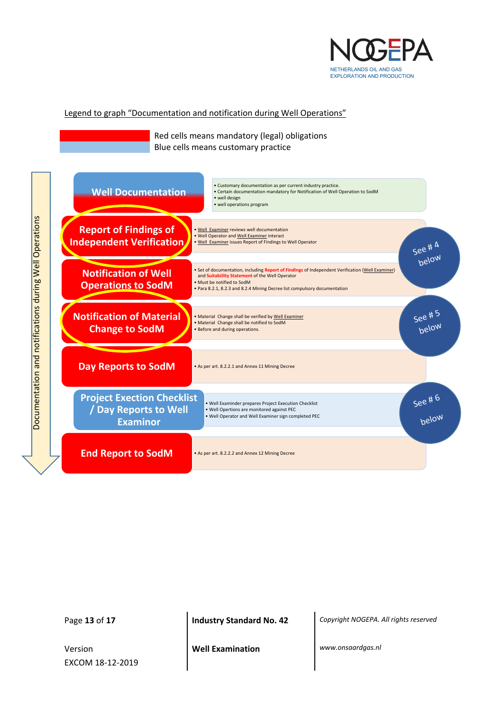

#### Legend to graph "Documentation and notification during Well Operations"

Red cells means mandatory (legal) obligations Blue cells means customary practice



Version EXCOM 18-12-2019

Page **13** of **17 Industry Standard No. 42** *Copyright NOGEPA. All rights reserved*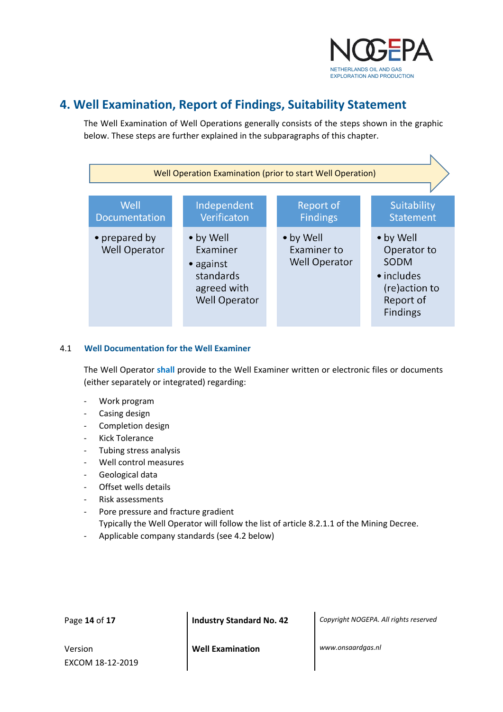

## <span id="page-13-0"></span>**4. Well Examination, Report of Findings, Suitability Statement**

The Well Examination of Well Operations generally consists of the steps shown in the graphic below. These steps are further explained in the subparagraphs of this chapter.



#### <span id="page-13-1"></span>4.1 **Well Documentation for the Well Examiner**

The Well Operator **shall** provide to the Well Examiner written or electronic files or documents (either separately or integrated) regarding:

- Work program
- Casing design
- Completion design
- Kick Tolerance
- Tubing stress analysis
- Well control measures
- Geological data
- Offset wells details
- Risk assessments
- Pore pressure and fracture gradient Typically the Well Operator will follow the list of article 8.2.1.1 of the Mining Decree.
- Applicable company standards (see 4.2 below)

Page **14** of **17 Industry Standard No. 42** *Copyright NOGEPA. All rights reserved*

Version EXCOM 18-12-2019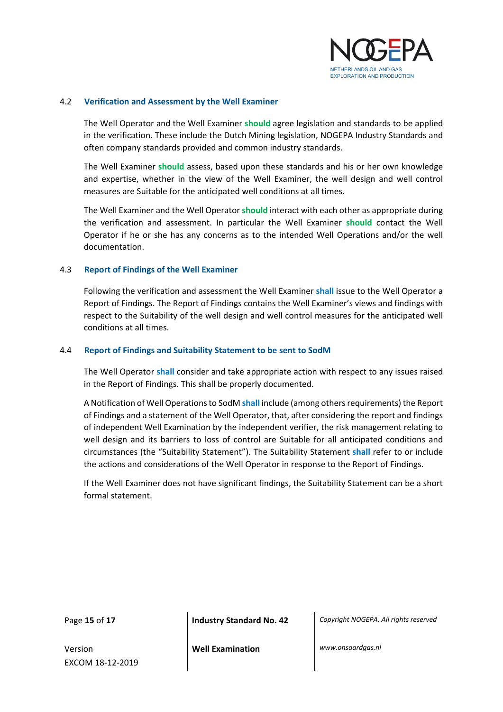

#### <span id="page-14-0"></span>4.2 **Verification and Assessment by the Well Examiner**

The Well Operator and the Well Examiner **should** agree legislation and standards to be applied in the verification. These include the Dutch Mining legislation, NOGEPA Industry Standards and often company standards provided and common industry standards.

The Well Examiner **should** assess, based upon these standards and his or her own knowledge and expertise, whether in the view of the Well Examiner, the well design and well control measures are Suitable for the anticipated well conditions at all times.

The Well Examiner and the Well Operator **should** interact with each other as appropriate during the verification and assessment. In particular the Well Examiner **should** contact the Well Operator if he or she has any concerns as to the intended Well Operations and/or the well documentation.

#### <span id="page-14-1"></span>4.3 **Report of Findings of the Well Examiner**

Following the verification and assessment the Well Examiner **shall** issue to the Well Operator a Report of Findings. The Report of Findings contains the Well Examiner's views and findings with respect to the Suitability of the well design and well control measures for the anticipated well conditions at all times.

#### <span id="page-14-2"></span>4.4 **Report of Findings and Suitability Statement to be sent to SodM**

The Well Operator **shall** consider and take appropriate action with respect to any issues raised in the Report of Findings. This shall be properly documented.

A Notification of Well Operations to SodM **shall** include (among others requirements) the Report of Findings and a statement of the Well Operator, that, after considering the report and findings of independent Well Examination by the independent verifier, the risk management relating to well design and its barriers to loss of control are Suitable for all anticipated conditions and circumstances (the "Suitability Statement"). The Suitability Statement **shall** refer to or include the actions and considerations of the Well Operator in response to the Report of Findings.

If the Well Examiner does not have significant findings, the Suitability Statement can be a short formal statement.

Version EXCOM 18-12-2019

Page **15** of **17 Industry Standard No. 42** *Copyright NOGEPA. All rights reserved*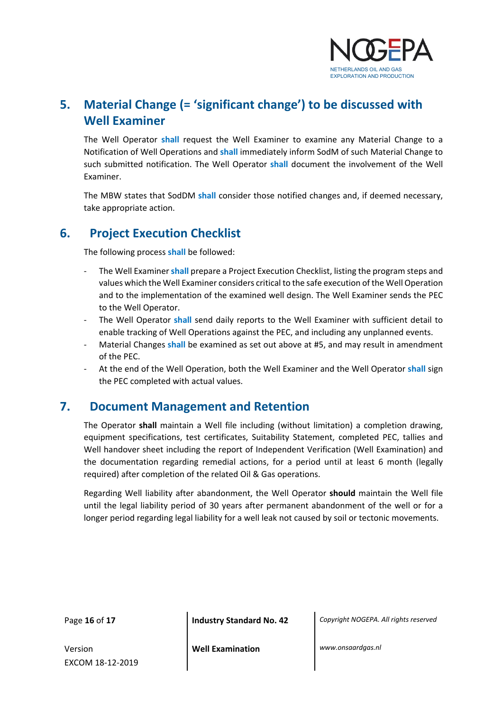

# <span id="page-15-0"></span>**5. Material Change (= 'significant change') to be discussed with Well Examiner**

The Well Operator **shall** request the Well Examiner to examine any Material Change to a Notification of Well Operations and **shall** immediately inform SodM of such Material Change to such submitted notification. The Well Operator **shall** document the involvement of the Well Examiner.

The MBW states that SodDM **shall** consider those notified changes and, if deemed necessary, take appropriate action.

## <span id="page-15-1"></span>**6. Project Execution Checklist**

The following process **shall** be followed:

- The Well Examiner **shall** prepare a Project Execution Checklist, listing the program steps and values which the Well Examiner considers critical to the safe execution of the Well Operation and to the implementation of the examined well design. The Well Examiner sends the PEC to the Well Operator.
- The Well Operator **shall** send daily reports to the Well Examiner with sufficient detail to enable tracking of Well Operations against the PEC, and including any unplanned events.
- Material Changes shall be examined as set out above at #5, and may result in amendment of the PEC.
- At the end of the Well Operation, both the Well Examiner and the Well Operator shall sign the PEC completed with actual values.

### <span id="page-15-2"></span>**7. Document Management and Retention**

The Operator **shall** maintain a Well file including (without limitation) a completion drawing, equipment specifications, test certificates, Suitability Statement, completed PEC, tallies and Well handover sheet including the report of Independent Verification (Well Examination) and the documentation regarding remedial actions, for a period until at least 6 month (legally required) after completion of the related Oil & Gas operations.

<span id="page-15-3"></span>Regarding Well liability after abandonment, the Well Operator **should** maintain the Well file until the legal liability period of 30 years after permanent abandonment of the well or for a longer period regarding legal liability for a well leak not caused by soil or tectonic movements.

Page **16** of **17 Industry Standard No. 42** *Copyright NOGEPA. All rights reserved*

Version EXCOM 18-12-2019